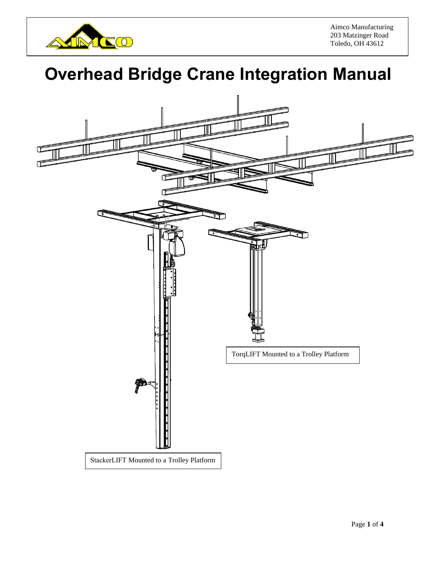

Aimco Manufacturing 203 Matzinger Road Toledo, OH 43612

## **Overhead Bridge Crane Integration Manual**

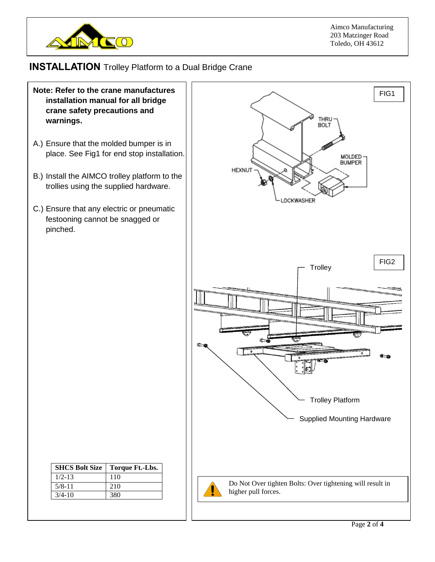

## **INSTALLATION** Trolley Platform to a Dual Bridge Crane

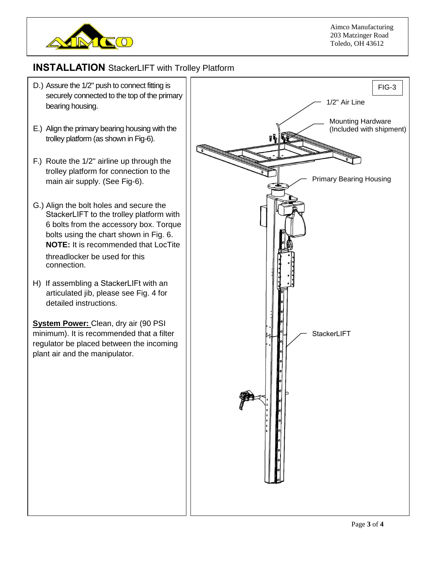

## **INST ALLATION** StackerLIFT with Trolley Platform

- D.) Assure the 1/2" push to connect fitting is securely connected to the top of the primary bearing housing.
- E.) Align the primary bearing housing with the trolley platform (as shown in Fig-6).
- F.) Route the 1/2" airline up through the trolley platform for connection to the main air supply. (See Fig-6).
- G.) Align the bolt holes and secure the StackerLIFT to the trolley platform with 6 bolts from the accessory box. Torque bolts using the chart shown in Fig. 6. **NOTE:** It is recommended that LocTite threadlocker be used for this connection.
- H) If assembling a StackerLIFt with an articulated jib, please see Fig. 4 for detailed instructions.

**System Power:** Clean, dry air (90 PSI) minimum). It is recommended that a filter regulator be placed between the incoming plant air and the manipulator.